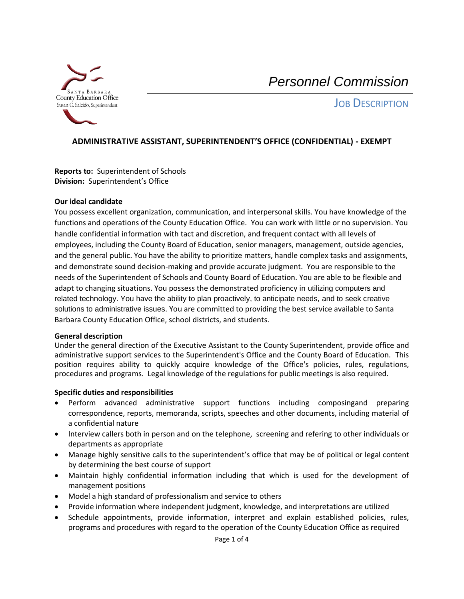

**JOB DESCRIPTION** 

## **ADMINISTRATIVE ASSISTANT, SUPERINTENDENT'S OFFICE (CONFIDENTIAL) - EXEMPT**

**Reports to:** Superintendent of Schools **Division:** Superintendent's Office

#### **Our ideal candidate**

You possess excellent organization, communication, and interpersonal skills. You have knowledge of the functions and operations of the County Education Office. You can work with little or no supervision. You handle confidential information with tact and discretion, and frequent contact with all levels of employees, including the County Board of Education, senior managers, management, outside agencies, and the general public. You have the ability to prioritize matters, handle complex tasks and assignments, and demonstrate sound decision-making and provide accurate judgment. You are responsible to the needs of the Superintendent of Schools and County Board of Education. You are able to be flexible and adapt to changing situations. You possess the demonstrated proficiency in utilizing computers and related technology. You have the ability to plan proactively, to anticipate needs, and to seek creative solutions to administrative issues. You are committed to providing the best service available to Santa Barbara County Education Office, school districts, and students.

#### **General description**

Under the general direction of the Executive Assistant to the County Superintendent, provide office and administrative support services to the Superintendent's Office and the County Board of Education. This position requires ability to quickly acquire knowledge of the Office's policies, rules, regulations, procedures and programs. Legal knowledge of the regulations for public meetings is also required.

#### **Specific duties and responsibilities**

- Perform advanced administrative support functions including composingand preparing correspondence, reports, memoranda, scripts, speeches and other documents, including material of a confidential nature
- Interview callers both in person and on the telephone, screening and refering to other individuals or departments as appropriate
- Manage highly sensitive calls to the superintendent's office that may be of political or legal content by determining the best course of support
- Maintain highly confidential information including that which is used for the development of management positions
- Model a high standard of professionalism and service to others
- Provide information where independent judgment, knowledge, and interpretations are utilized
- Schedule appointments, provide information, interpret and explain established policies, rules, programs and procedures with regard to the operation of the County Education Office as required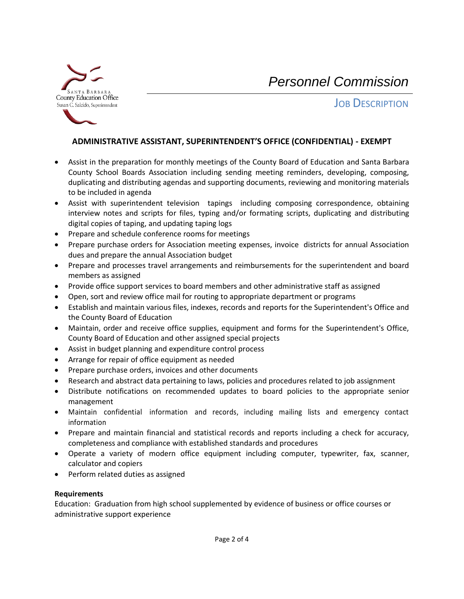

**JOB DESCRIPTION** 

### **ADMINISTRATIVE ASSISTANT, SUPERINTENDENT'S OFFICE (CONFIDENTIAL) - EXEMPT**

- Assist in the preparation for monthly meetings of the County Board of Education and Santa Barbara County School Boards Association including sending meeting reminders, developing, composing, duplicating and distributing agendas and supporting documents, reviewing and monitoring materials to be included in agenda
- Assist with superintendent television tapings including composing correspondence, obtaining interview notes and scripts for files, typing and/or formating scripts, duplicating and distributing digital copies of taping, and updating taping logs
- Prepare and schedule conference rooms for meetings
- Prepare purchase orders for Association meeting expenses, invoice districts for annual Association dues and prepare the annual Association budget
- Prepare and processes travel arrangements and reimbursements for the superintendent and board members as assigned
- Provide office support services to board members and other administrative staff as assigned
- Open, sort and review office mail for routing to appropriate department or programs
- Establish and maintain various files, indexes, records and reports for the Superintendent's Office and the County Board of Education
- Maintain, order and receive office supplies, equipment and forms for the Superintendent's Office, County Board of Education and other assigned special projects
- Assist in budget planning and expenditure control process
- Arrange for repair of office equipment as needed
- Prepare purchase orders, invoices and other documents
- Research and abstract data pertaining to laws, policies and procedures related to job assignment
- Distribute notifications on recommended updates to board policies to the appropriate senior management
- Maintain confidential information and records, including mailing lists and emergency contact information
- Prepare and maintain financial and statistical records and reports including a check for accuracy, completeness and compliance with established standards and procedures
- Operate a variety of modern office equipment including computer, typewriter, fax, scanner, calculator and copiers
- Perform related duties as assigned

#### **Requirements**

Education: Graduation from high school supplemented by evidence of business or office courses or administrative support experience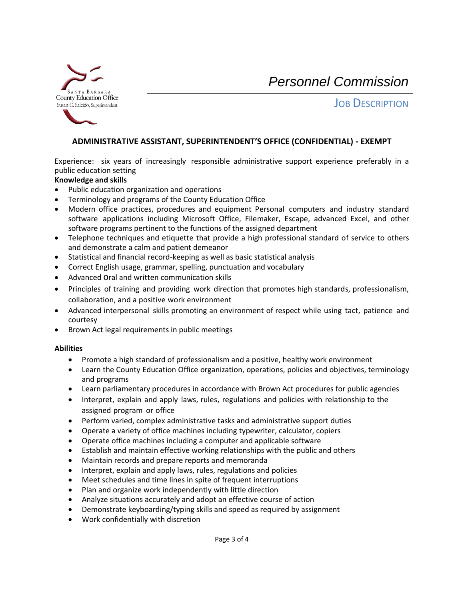

**JOB DESCRIPTION** 

## **ADMINISTRATIVE ASSISTANT, SUPERINTENDENT'S OFFICE (CONFIDENTIAL) - EXEMPT**

Experience: six years of increasingly responsible administrative support experience preferably in a public education setting

#### **Knowledge and skills**

- Public education organization and operations
- Terminology and programs of the County Education Office
- Modern office practices, procedures and equipment Personal computers and industry standard software applications including Microsoft Office, Filemaker, Escape, advanced Excel, and other software programs pertinent to the functions of the assigned department
- Telephone techniques and etiquette that provide a high professional standard of service to others and demonstrate a calm and patient demeanor
- Statistical and financial record-keeping as well as basic statistical analysis
- Correct English usage, grammar, spelling, punctuation and vocabulary
- Advanced oral and written communication skills
- Principles of training and providing work direction that promotes high standards, professionalism, collaboration, and a positive work environment
- Advanced interpersonal skills promoting an environment of respect while using tact, patience and courtesy
- Brown Act legal requirements in public meetings

#### **Abilities**

- Promote a high standard of professionalism and a positive, healthy work environment
- Learn the County Education Office organization, operations, policies and objectives, terminology and programs
- Learn parliamentary procedures in accordance with Brown Act procedures for public agencies
- Interpret, explain and apply laws, rules, regulations and policies with relationship to the assigned program or office
- Perform varied, complex administrative tasks and administrative support duties
- Operate a variety of office machines including typewriter, calculator, copiers
- Operate office machines including a computer and applicable software
- Establish and maintain effective working relationships with the public and others
- Maintain records and prepare reports and memoranda
- Interpret, explain and apply laws, rules, regulations and policies
- Meet schedules and time lines in spite of frequent interruptions
- Plan and organize work independently with little direction
- Analyze situations accurately and adopt an effective course of action
- Demonstrate keyboarding/typing skills and speed as required by assignment
- Work confidentially with discretion